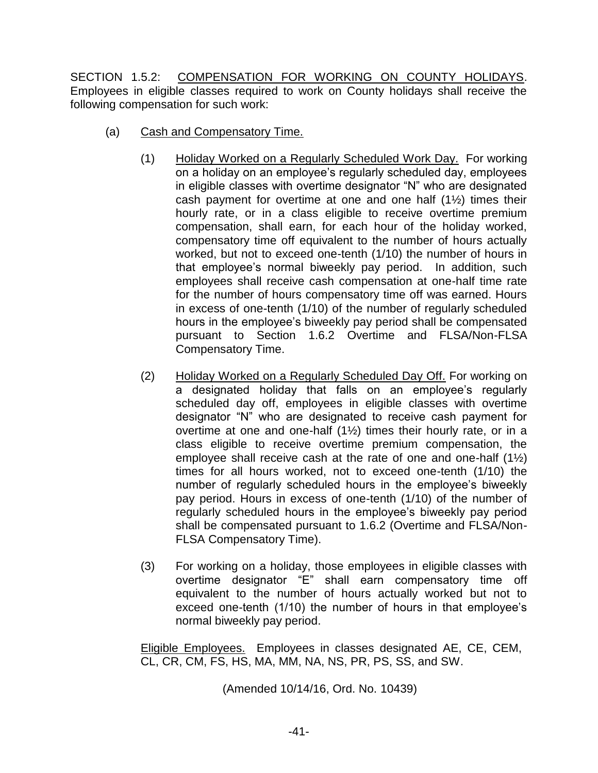SECTION 1.5.2: COMPENSATION FOR WORKING ON COUNTY HOLIDAYS. Employees in eligible classes required to work on County holidays shall receive the following compensation for such work:

- (a) Cash and Compensatory Time.
	- (1) Holiday Worked on a Regularly Scheduled Work Day. For working on a holiday on an employee's regularly scheduled day, employees in eligible classes with overtime designator "N" who are designated cash payment for overtime at one and one half (1½) times their hourly rate, or in a class eligible to receive overtime premium compensation, shall earn, for each hour of the holiday worked, compensatory time off equivalent to the number of hours actually worked, but not to exceed one-tenth (1/10) the number of hours in that employee's normal biweekly pay period. In addition, such employees shall receive cash compensation at one-half time rate for the number of hours compensatory time off was earned. Hours in excess of one-tenth (1/10) of the number of regularly scheduled hours in the employee's biweekly pay period shall be compensated pursuant to Section 1.6.2 Overtime and FLSA/Non-FLSA Compensatory Time.
	- (2) Holiday Worked on a Regularly Scheduled Day Off. For working on a designated holiday that falls on an employee's regularly scheduled day off, employees in eligible classes with overtime designator "N" who are designated to receive cash payment for overtime at one and one-half (1½) times their hourly rate, or in a class eligible to receive overtime premium compensation, the employee shall receive cash at the rate of one and one-half (1½) times for all hours worked, not to exceed one-tenth (1/10) the number of regularly scheduled hours in the employee's biweekly pay period. Hours in excess of one-tenth (1/10) of the number of regularly scheduled hours in the employee's biweekly pay period shall be compensated pursuant to 1.6.2 (Overtime and FLSA/Non-FLSA Compensatory Time).
	- (3) For working on a holiday, those employees in eligible classes with overtime designator "E" shall earn compensatory time off equivalent to the number of hours actually worked but not to exceed one-tenth (1/10) the number of hours in that employee's normal biweekly pay period.

Eligible Employees. Employees in classes designated AE, CE, CEM, CL, CR, CM, FS, HS, MA, MM, NA, NS, PR, PS, SS, and SW.

(Amended 10/14/16, Ord. No. 10439)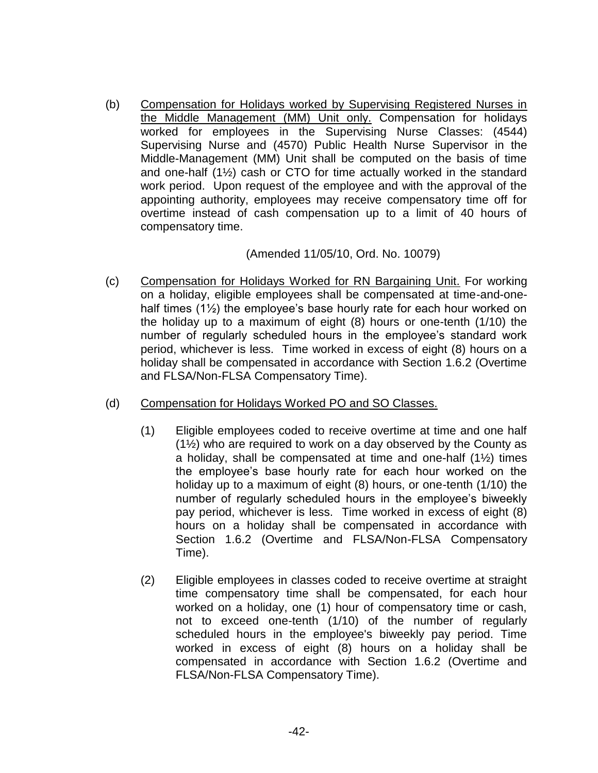(b) Compensation for Holidays worked by Supervising Registered Nurses in the Middle Management (MM) Unit only. Compensation for holidays worked for employees in the Supervising Nurse Classes: (4544) Supervising Nurse and (4570) Public Health Nurse Supervisor in the Middle-Management (MM) Unit shall be computed on the basis of time and one-half (1½) cash or CTO for time actually worked in the standard work period. Upon request of the employee and with the approval of the appointing authority, employees may receive compensatory time off for overtime instead of cash compensation up to a limit of 40 hours of compensatory time.

## (Amended 11/05/10, Ord. No. 10079)

- (c) Compensation for Holidays Worked for RN Bargaining Unit. For working on a holiday, eligible employees shall be compensated at time-and-onehalf times (1½) the employee's base hourly rate for each hour worked on the holiday up to a maximum of eight (8) hours or one-tenth (1/10) the number of regularly scheduled hours in the employee's standard work period, whichever is less. Time worked in excess of eight (8) hours on a holiday shall be compensated in accordance with Section 1.6.2 (Overtime and FLSA/Non-FLSA Compensatory Time).
- (d) Compensation for Holidays Worked PO and SO Classes.
	- (1) Eligible employees coded to receive overtime at time and one half (1½) who are required to work on a day observed by the County as a holiday, shall be compensated at time and one-half (1½) times the employee's base hourly rate for each hour worked on the holiday up to a maximum of eight (8) hours, or one-tenth (1/10) the number of regularly scheduled hours in the employee's biweekly pay period, whichever is less. Time worked in excess of eight (8) hours on a holiday shall be compensated in accordance with Section 1.6.2 (Overtime and FLSA/Non-FLSA Compensatory Time).
	- (2) Eligible employees in classes coded to receive overtime at straight time compensatory time shall be compensated, for each hour worked on a holiday, one (1) hour of compensatory time or cash, not to exceed one-tenth (1/10) of the number of regularly scheduled hours in the employee's biweekly pay period. Time worked in excess of eight (8) hours on a holiday shall be compensated in accordance with Section 1.6.2 (Overtime and FLSA/Non-FLSA Compensatory Time).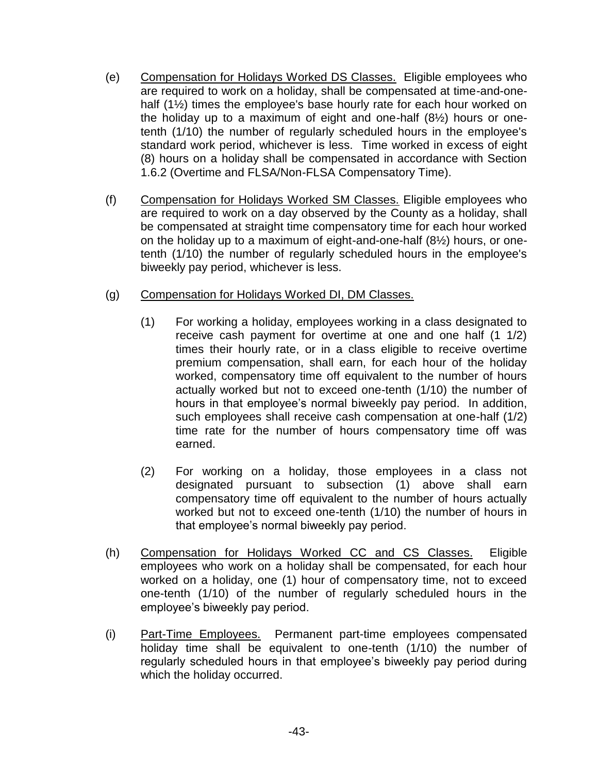- (e) Compensation for Holidays Worked DS Classes. Eligible employees who are required to work on a holiday, shall be compensated at time-and-onehalf (1½) times the employee's base hourly rate for each hour worked on the holiday up to a maximum of eight and one-half (8½) hours or onetenth (1/10) the number of regularly scheduled hours in the employee's standard work period, whichever is less. Time worked in excess of eight (8) hours on a holiday shall be compensated in accordance with Section 1.6.2 (Overtime and FLSA/Non-FLSA Compensatory Time).
- (f) Compensation for Holidays Worked SM Classes. Eligible employees who are required to work on a day observed by the County as a holiday, shall be compensated at straight time compensatory time for each hour worked on the holiday up to a maximum of eight-and-one-half (8½) hours, or onetenth (1/10) the number of regularly scheduled hours in the employee's biweekly pay period, whichever is less.

## (g) Compensation for Holidays Worked DI, DM Classes.

- (1) For working a holiday, employees working in a class designated to receive cash payment for overtime at one and one half (1 1/2) times their hourly rate, or in a class eligible to receive overtime premium compensation, shall earn, for each hour of the holiday worked, compensatory time off equivalent to the number of hours actually worked but not to exceed one-tenth (1/10) the number of hours in that employee's normal biweekly pay period. In addition, such employees shall receive cash compensation at one-half (1/2) time rate for the number of hours compensatory time off was earned.
- (2) For working on a holiday, those employees in a class not designated pursuant to subsection (1) above shall earn compensatory time off equivalent to the number of hours actually worked but not to exceed one-tenth (1/10) the number of hours in that employee's normal biweekly pay period.
- (h) Compensation for Holidays Worked CC and CS Classes. Eligible employees who work on a holiday shall be compensated, for each hour worked on a holiday, one (1) hour of compensatory time, not to exceed one-tenth (1/10) of the number of regularly scheduled hours in the employee's biweekly pay period.
- (i) Part-Time Employees. Permanent part-time employees compensated holiday time shall be equivalent to one-tenth (1/10) the number of regularly scheduled hours in that employee's biweekly pay period during which the holiday occurred.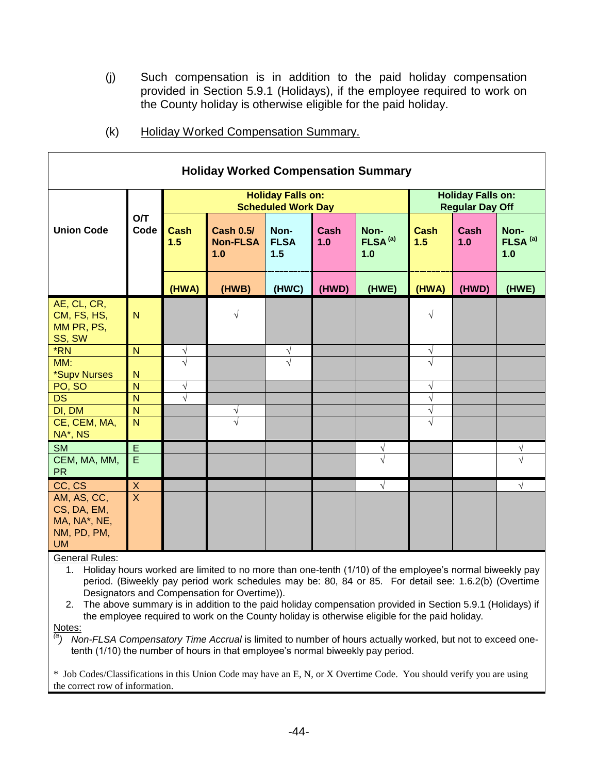(j) Such compensation is in addition to the paid holiday compensation provided in Section 5.9.1 (Holidays), if the employee required to work on the County holiday is otherwise eligible for the paid holiday.

| <b>Holiday Worked Compensation Summary</b>                             |                           |                                                       |                                            |                            |                    |                                    |                                                    |                    |                                    |  |
|------------------------------------------------------------------------|---------------------------|-------------------------------------------------------|--------------------------------------------|----------------------------|--------------------|------------------------------------|----------------------------------------------------|--------------------|------------------------------------|--|
|                                                                        |                           | <b>Holiday Falls on:</b><br><b>Scheduled Work Day</b> |                                            |                            |                    |                                    | <b>Holiday Falls on:</b><br><b>Regular Day Off</b> |                    |                                    |  |
| <b>Union Code</b>                                                      | <b>O/T</b><br>Code        | <b>Cash</b><br>1.5                                    | <b>Cash 0.5/</b><br><b>Non-FLSA</b><br>1.0 | Non-<br><b>FLSA</b><br>1.5 | <b>Cash</b><br>1.0 | Non-<br>FLSA <sup>(a)</sup><br>1.0 | <b>Cash</b><br>1.5                                 | <b>Cash</b><br>1.0 | Non-<br>FLSA <sup>(a)</sup><br>1.0 |  |
|                                                                        |                           | (HWA)                                                 | (HWB)                                      | (HWC)                      | (HWD)              | (HWE)                              | (HWA)                                              | (HWD)              | (HWE)                              |  |
| AE, CL, CR,<br>CM, FS, HS,<br>MM PR, PS,<br>SS, SW                     | N                         |                                                       | $\sqrt{}$                                  |                            |                    |                                    | $\sqrt{}$                                          |                    |                                    |  |
| *RN                                                                    | N                         | $\sqrt{}$                                             |                                            | V                          |                    |                                    | $\sqrt{}$                                          |                    |                                    |  |
| MM:<br>*Supv Nurses                                                    | N                         | $\sqrt{ }$                                            |                                            | $\overline{\sqrt{} }$      |                    |                                    | $\sqrt{}$                                          |                    |                                    |  |
| PO, SO                                                                 | N                         | $\sqrt{ }$                                            |                                            |                            |                    |                                    | $\sqrt{}$                                          |                    |                                    |  |
| <b>DS</b>                                                              | $\mathsf{N}$<br>N         | $\sqrt{ }$                                            |                                            |                            |                    |                                    | $\sqrt{}$                                          |                    |                                    |  |
| DI, DM<br>CE, CEM, MA,<br>NA*, NS                                      | $\overline{N}$            |                                                       | V<br>$\overline{\sqrt{ }}$                 |                            |                    |                                    | $\sqrt{}$<br>$\sqrt{2}$                            |                    |                                    |  |
| <b>SM</b>                                                              | E                         |                                                       |                                            |                            |                    | V                                  |                                                    |                    |                                    |  |
| CEM, MA, MM,<br><b>PR</b>                                              | E                         |                                                       |                                            |                            |                    | $\overline{\sqrt{2}}$              |                                                    |                    |                                    |  |
| CC, CS                                                                 | $\boldsymbol{\mathsf{X}}$ |                                                       |                                            |                            |                    | $\sqrt{ }$                         |                                                    |                    | $\sqrt{ }$                         |  |
| AM, AS, CC,<br>CS, DA, EM,<br>MA, NA*, NE,<br>NM, PD, PM,<br><b>UM</b> | $\overline{\mathsf{x}}$   |                                                       |                                            |                            |                    |                                    |                                                    |                    |                                    |  |

(k) Holiday Worked Compensation Summary.

General Rules:

1. Holiday hours worked are limited to no more than one-tenth (1/10) of the employee's normal biweekly pay period. (Biweekly pay period work schedules may be: 80, 84 or 85. For detail see: 1.6.2(b) (Overtime Designators and Compensation for Overtime)).

2. The above summary is in addition to the paid holiday compensation provided in Section 5.9.1 (Holidays) if the employee required to work on the County holiday is otherwise eligible for the paid holiday.

Notes:

*Non-FLSA Compensatory Time Accrual* is limited to number of hours actually worked, but not to exceed onetenth (1/10) the number of hours in that employee's normal biweekly pay period.

\* Job Codes/Classifications in this Union Code may have an E, N, or X Overtime Code. You should verify you are using the correct row of information.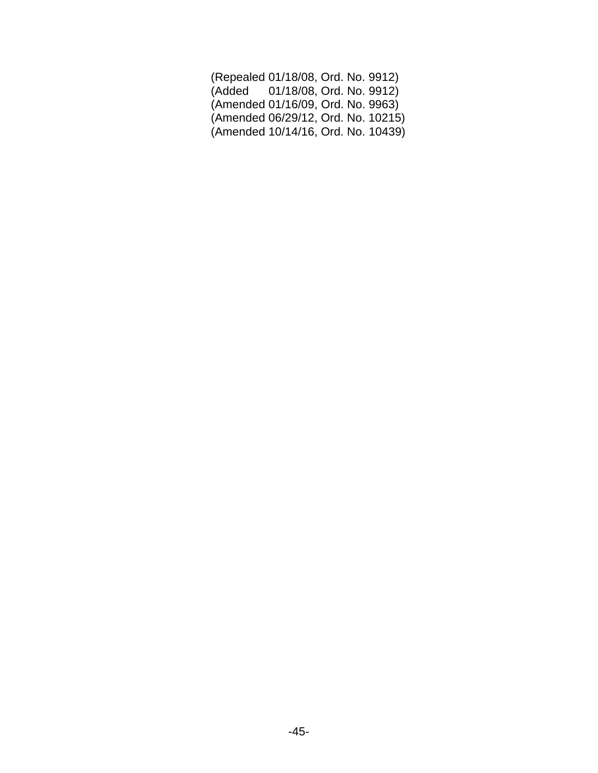| (Repealed 01/18/08, Ord. No. 9912) |  |  |
|------------------------------------|--|--|
| (Added 01/18/08, Ord. No. 9912)    |  |  |
| (Amended 01/16/09, Ord. No. 9963)  |  |  |
| (Amended 06/29/12, Ord. No. 10215) |  |  |
| (Amended 10/14/16, Ord. No. 10439) |  |  |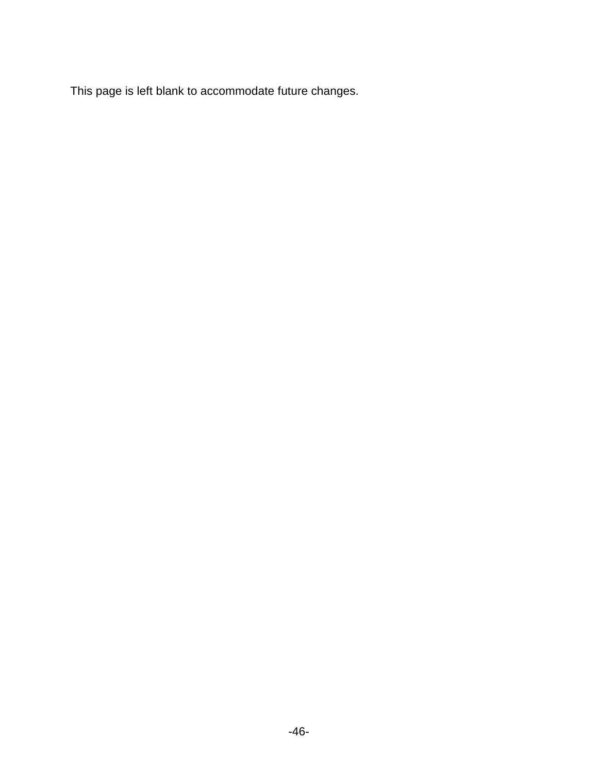This page is left blank to accommodate future changes.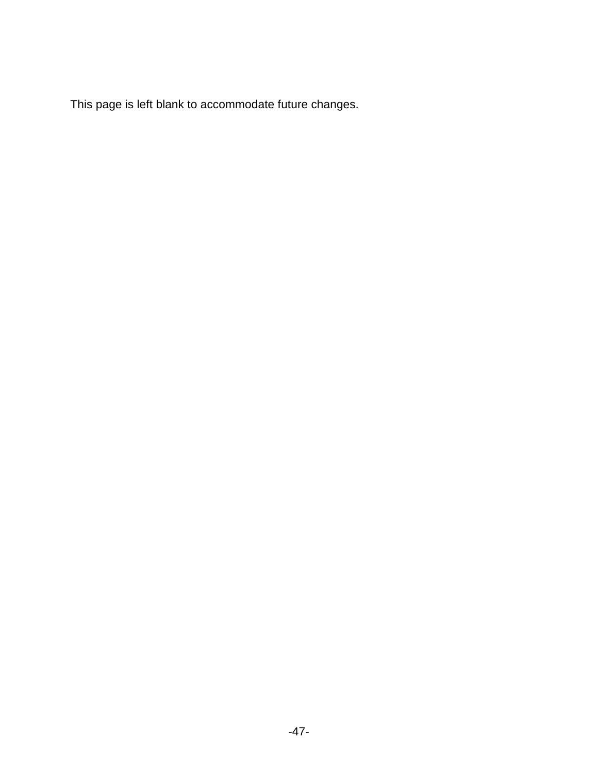This page is left blank to accommodate future changes.